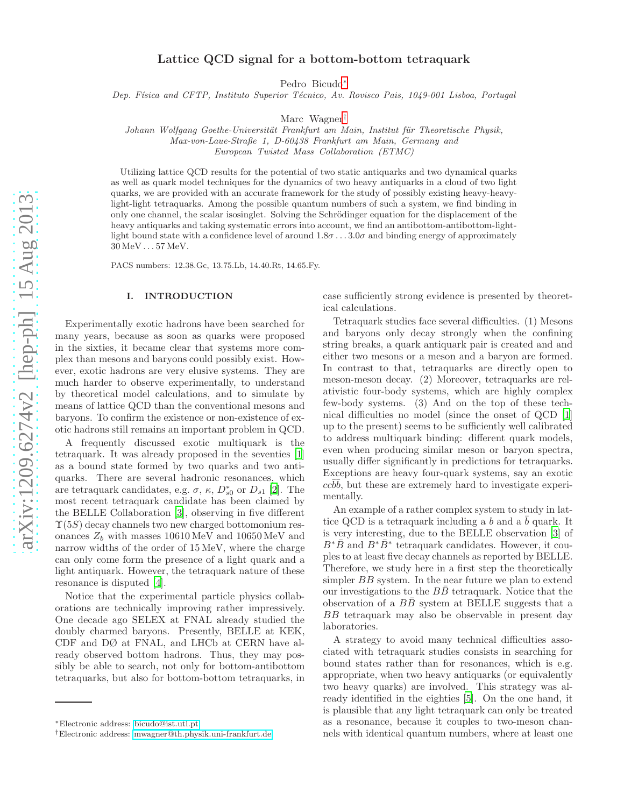# Lattice QCD signal for a bottom-bottom tetraquark

Pedro Bicudo[∗](#page-0-0)

Dep. Física and CFTP, Instituto Superior Técnico, Av. Rovisco Pais, 1049-001 Lisboa, Portugal

Marc Wagner[†](#page-0-1)

Johann Wolfgang Goethe-Universität Frankfurt am Main, Institut für Theoretische Physik, Max-von-Laue-Straße 1, D-60438 Frankfurt am Main, Germany and

European Twisted Mass Collaboration (ETMC)

Utilizing lattice QCD results for the potential of two static antiquarks and two dynamical quarks as well as quark model techniques for the dynamics of two heavy antiquarks in a cloud of two light quarks, we are provided with an accurate framework for the study of possibly existing heavy-heavylight-light tetraquarks. Among the possible quantum numbers of such a system, we find binding in only one channel, the scalar isosinglet. Solving the Schrödinger equation for the displacement of the heavy antiquarks and taking systematic errors into account, we find an antibottom-antibottom-lightlight bound state with a confidence level of around  $1.8\sigma \ldots 3.0\sigma$  and binding energy of approximately 30 MeV . . . 57 MeV.

PACS numbers: 12.38.Gc, 13.75.Lb, 14.40.Rt, 14.65.Fy.

## I. INTRODUCTION

Experimentally exotic hadrons have been searched for many years, because as soon as quarks were proposed in the sixties, it became clear that systems more complex than mesons and baryons could possibly exist. However, exotic hadrons are very elusive systems. They are much harder to observe experimentally, to understand by theoretical model calculations, and to simulate by means of lattice QCD than the conventional mesons and baryons. To confirm the existence or non-existence of exotic hadrons still remains an important problem in QCD.

A frequently discussed exotic multiquark is the tetraquark. It was already proposed in the seventies [\[1](#page-5-0)] as a bound state formed by two quarks and two antiquarks. There are several hadronic resonances, which are tetraquark candidates, e.g.  $\sigma$ ,  $\kappa$ ,  $D_{s0}^*$  or  $D_{s1}$  [\[2](#page-5-1)]. The most recent tetraquark candidate has been claimed by the BELLE Collaboration [\[3\]](#page-5-2), observing in five different  $\Upsilon(5S)$  decay channels two new charged bottomonium resonances  $Z_b$  with masses  $10610\,{\rm MeV}$  and  $10650\,{\rm MeV}$  and narrow widths of the order of 15 MeV, where the charge can only come form the presence of a light quark and a light antiquark. However, the tetraquark nature of these resonance is disputed [\[4\]](#page-5-3).

Notice that the experimental particle physics collaborations are technically improving rather impressively. One decade ago SELEX at FNAL already studied the doubly charmed baryons. Presently, BELLE at KEK, CDF and DØ at FNAL, and LHCb at CERN have already observed bottom hadrons. Thus, they may possibly be able to search, not only for bottom-antibottom tetraquarks, but also for bottom-bottom tetraquarks, in

case sufficiently strong evidence is presented by theoretical calculations.

Tetraquark studies face several difficulties. (1) Mesons and baryons only decay strongly when the confining string breaks, a quark antiquark pair is created and and either two mesons or a meson and a baryon are formed. In contrast to that, tetraquarks are directly open to meson-meson decay. (2) Moreover, tetraquarks are relativistic four-body systems, which are highly complex few-body systems. (3) And on the top of these technical difficulties no model (since the onset of QCD [\[1](#page-5-0)] up to the present) seems to be sufficiently well calibrated to address multiquark binding: different quark models, even when producing similar meson or baryon spectra, usually differ significantly in predictions for tetraquarks. Exceptions are heavy four-quark systems, say an exotic  $cc\bar{b}\bar{b}$ , but these are extremely hard to investigate experimentally.

An example of a rather complex system to study in lattice QCD is a tetraquark including a b and a  $\bar{b}$  quark. It is very interesting, due to the BELLE observation [\[3\]](#page-5-2) of  $B^*\bar{B}$  and  $B^*\bar{B}^*$  tetraquark candidates. However, it couples to at least five decay channels as reported by BELLE. Therefore, we study here in a first step the theoretically simpler BB system. In the near future we plan to extend our investigations to the  $BB$  tetraquark. Notice that the observation of a  $B\overline{B}$  system at BELLE suggests that a BB tetraquark may also be observable in present day laboratories.

A strategy to avoid many technical difficulties associated with tetraquark studies consists in searching for bound states rather than for resonances, which is e.g. appropriate, when two heavy antiquarks (or equivalently two heavy quarks) are involved. This strategy was already identified in the eighties [\[5](#page-5-4)]. On the one hand, it is plausible that any light tetraquark can only be treated as a resonance, because it couples to two-meson channels with identical quantum numbers, where at least one

<span id="page-0-0"></span><sup>∗</sup>Electronic address: [bicudo@ist.utl.pt](mailto:bicudo@ist.utl.pt)

<span id="page-0-1"></span><sup>†</sup>Electronic address: [mwagner@th.physik.uni-frankfurt.de](mailto:mwagner@th.physik.uni-frankfurt.de)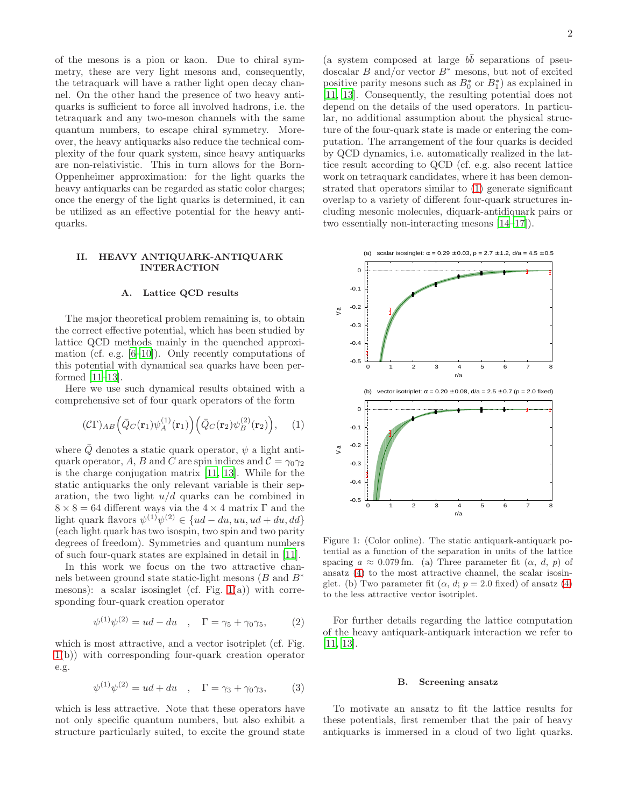of the mesons is a pion or kaon. Due to chiral symmetry, these are very light mesons and, consequently, the tetraquark will have a rather light open decay channel. On the other hand the presence of two heavy antiquarks is sufficient to force all involved hadrons, i.e. the tetraquark and any two-meson channels with the same quantum numbers, to escape chiral symmetry. Moreover, the heavy antiquarks also reduce the technical complexity of the four quark system, since heavy antiquarks are non-relativistic. This in turn allows for the Born-Oppenheimer approximation: for the light quarks the heavy antiquarks can be regarded as static color charges; once the energy of the light quarks is determined, it can be utilized as an effective potential for the heavy antiquarks.

### II. HEAVY ANTIQUARK-ANTIQUARK INTERACTION

### A. Lattice QCD results

The major theoretical problem remaining is, to obtain the correct effective potential, which has been studied by lattice QCD methods mainly in the quenched approximation (cf. e.g. [\[6](#page-5-5)[–10\]](#page-5-6)). Only recently computations of this potential with dynamical sea quarks have been performed [\[11](#page-5-7)[–13](#page-5-8)].

Here we use such dynamical results obtained with a comprehensive set of four quark operators of the form

<span id="page-1-1"></span>
$$
(\mathcal{C}\Gamma)_{AB} \left( \bar{Q}_C(\mathbf{r}_1) \psi_A^{(1)}(\mathbf{r}_1) \right) \left( \bar{Q}_C(\mathbf{r}_2) \psi_B^{(2)}(\mathbf{r}_2) \right), \quad (1)
$$

where  $\overline{Q}$  denotes a static quark operator,  $\psi$  a light antiquark operator, A, B and C are spin indices and  $\mathcal{C} = \gamma_0 \gamma_2$ is the charge conjugation matrix [\[11](#page-5-7), [13\]](#page-5-8). While for the static antiquarks the only relevant variable is their separation, the two light  $u/d$  quarks can be combined in  $8 \times 8 = 64$  different ways via the  $4 \times 4$  matrix Γ and the light quark flavors  $\psi^{(1)}\psi^{(2)} \in \{ud - du, uu, ud + du, dd\}$ (each light quark has two isospin, two spin and two parity degrees of freedom). Symmetries and quantum numbers of such four-quark states are explained in detail in [\[11](#page-5-7)].

In this work we focus on the two attractive channels between ground state static-light mesons  $(B \text{ and } B^*$ mesons): a scalar isosinglet (cf. Fig.  $1(a)$ ) with corresponding four-quark creation operator

$$
\psi^{(1)}\psi^{(2)} = ud - du \quad , \quad \Gamma = \gamma_5 + \gamma_0 \gamma_5, \tag{2}
$$

which is most attractive, and a vector isotriplet (cf. Fig. [1\(](#page-1-0)b)) with corresponding four-quark creation operator e.g.

$$
\psi^{(1)}\psi^{(2)} = ud + du \quad , \quad \Gamma = \gamma_3 + \gamma_0 \gamma_3, \tag{3}
$$

which is less attractive. Note that these operators have not only specific quantum numbers, but also exhibit a structure particularly suited, to excite the ground state

(a system composed at large  $b\bar{b}$  separations of pseudoscalar B and/or vector  $B^*$  mesons, but not of excited positive parity mesons such as  $B_0^*$  or  $B_1^*$ ) as explained in [\[11,](#page-5-7) [13\]](#page-5-8). Consequently, the resulting potential does not depend on the details of the used operators. In particular, no additional assumption about the physical structure of the four-quark state is made or entering the computation. The arrangement of the four quarks is decided by QCD dynamics, i.e. automatically realized in the lattice result according to QCD (cf. e.g. also recent lattice work on tetraquark candidates, where it has been demonstrated that operators similar to [\(1\)](#page-1-1) generate significant overlap to a variety of different four-quark structures including mesonic molecules, diquark-antidiquark pairs or two essentially non-interacting mesons [\[14](#page-5-9)[–17](#page-5-10)]).



<span id="page-1-0"></span>Figure 1: (Color online). The static antiquark-antiquark potential as a function of the separation in units of the lattice spacing  $a \approx 0.079$  fm. (a) Three parameter fit  $(\alpha, d, p)$  of ansatz [\(4\)](#page-2-0) to the most attractive channel, the scalar isosinglet. (b) Two parameter fit  $(\alpha, d; p = 2.0$  fixed) of ansatz [\(4\)](#page-2-0) to the less attractive vector isotriplet.

For further details regarding the lattice computation of the heavy antiquark-antiquark interaction we refer to [\[11,](#page-5-7) [13\]](#page-5-8).

#### B. Screening ansatz

To motivate an ansatz to fit the lattice results for these potentials, first remember that the pair of heavy antiquarks is immersed in a cloud of two light quarks.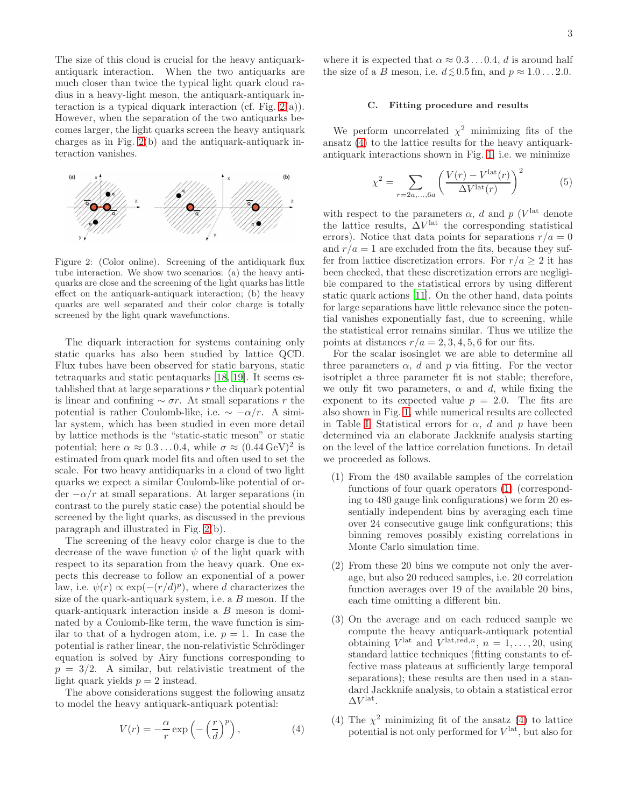The size of this cloud is crucial for the heavy antiquarkantiquark interaction. When the two antiquarks are much closer than twice the typical light quark cloud radius in a heavy-light meson, the antiquark-antiquark interaction is a typical diquark interaction (cf. Fig.  $2(a)$ ). However, when the separation of the two antiquarks becomes larger, the light quarks screen the heavy antiquark charges as in Fig. [2\(](#page-2-1)b) and the antiquark-antiquark interaction vanishes.



<span id="page-2-1"></span>Figure 2: (Color online). Screening of the antidiquark flux tube interaction. We show two scenarios: (a) the heavy antiquarks are close and the screening of the light quarks has little effect on the antiquark-antiquark interaction; (b) the heavy quarks are well separated and their color charge is totally screened by the light quark wavefunctions.

The diquark interaction for systems containing only static quarks has also been studied by lattice QCD. Flux tubes have been observed for static baryons, static tetraquarks and static pentaquarks [\[18,](#page-5-11) [19\]](#page-5-12). It seems established that at large separations  $r$  the diquark potential is linear and confining  $\sim \sigma r$ . At small separations r the potential is rather Coulomb-like, i.e.  $\sim -\alpha/r$ . A similar system, which has been studied in even more detail by lattice methods is the "static-static meson" or static potential; here  $\alpha \approx 0.3 \dots 0.4$ , while  $\sigma \approx (0.44 \,\text{GeV})^2$  is estimated from quark model fits and often used to set the scale. For two heavy antidiquarks in a cloud of two light quarks we expect a similar Coulomb-like potential of or- $\frac{d}{dx} -\frac{\alpha}{r}$  at small separations. At larger separations (in contrast to the purely static case) the potential should be screened by the light quarks, as discussed in the previous paragraph and illustrated in Fig. [2\(](#page-2-1)b).

The screening of the heavy color charge is due to the decrease of the wave function  $\psi$  of the light quark with respect to its separation from the heavy quark. One expects this decrease to follow an exponential of a power law, i.e.  $\psi(r) \propto \exp(-(r/d)^p)$ , where d characterizes the size of the quark-antiquark system, i.e. a B meson. If the quark-antiquark interaction inside a B meson is dominated by a Coulomb-like term, the wave function is similar to that of a hydrogen atom, i.e.  $p = 1$ . In case the potential is rather linear, the non-relativistic Schrödinger equation is solved by Airy functions corresponding to  $p = 3/2$ . A similar, but relativistic treatment of the light quark yields  $p = 2$  instead.

The above considerations suggest the following ansatz to model the heavy antiquark-antiquark potential:

<span id="page-2-0"></span>
$$
V(r) = -\frac{\alpha}{r} \exp\left(-\left(\frac{r}{d}\right)^p\right),\tag{4}
$$

where it is expected that  $\alpha \approx 0.3 \dots 0.4$ , d is around half the size of a B meson, i.e.  $d \lesssim 0.5$  fm, and  $p \approx 1.0 \dots 2.0$ .

# <span id="page-2-2"></span>C. Fitting procedure and results

We perform uncorrelated  $\chi^2$  minimizing fits of the ansatz [\(4\)](#page-2-0) to the lattice results for the heavy antiquarkantiquark interactions shown in Fig. [1,](#page-1-0) i.e. we minimize

$$
\chi^2 = \sum_{r=2a,\dots,6a} \left( \frac{V(r) - V^{\text{lat}}(r)}{\Delta V^{\text{lat}}(r)} \right)^2 \tag{5}
$$

with respect to the parameters  $\alpha$ , d and p (V<sup>lat</sup> denote the lattice results,  $\Delta V^{\text{lat}}$  the corresponding statistical errors). Notice that data points for separations  $r/a = 0$ and  $r/a = 1$  are excluded from the fits, because they suffer from lattice discretization errors. For  $r/a > 2$  it has been checked, that these discretization errors are negligible compared to the statistical errors by using different static quark actions [\[11\]](#page-5-7). On the other hand, data points for large separations have little relevance since the potential vanishes exponentially fast, due to screening, while the statistical error remains similar. Thus we utilize the points at distances  $r/a = 2, 3, 4, 5, 6$  for our fits.

For the scalar isosinglet we are able to determine all three parameters  $\alpha$ , d and p via fitting. For the vector isotriplet a three parameter fit is not stable; therefore, we only fit two parameters,  $\alpha$  and d, while fixing the exponent to its expected value  $p = 2.0$ . The fits are also shown in Fig. [1,](#page-1-0) while numerical results are collected in Table [I.](#page-3-0) Statistical errors for  $\alpha$ , d and p have been determined via an elaborate Jackknife analysis starting on the level of the lattice correlation functions. In detail we proceeded as follows.

- (1) From the 480 available samples of the correlation functions of four quark operators [\(1\)](#page-1-1) (corresponding to 480 gauge link configurations) we form 20 essentially independent bins by averaging each time over 24 consecutive gauge link configurations; this binning removes possibly existing correlations in Monte Carlo simulation time.
- (2) From these 20 bins we compute not only the average, but also 20 reduced samples, i.e. 20 correlation function averages over 19 of the available 20 bins, each time omitting a different bin.
- (3) On the average and on each reduced sample we compute the heavy antiquark-antiquark potential obtaining  $V^{\text{lat}}$  and  $V^{\text{lat,red},n}$ ,  $n = 1, \ldots, 20$ , using standard lattice techniques (fitting constants to effective mass plateaus at sufficiently large temporal separations); these results are then used in a standard Jackknife analysis, to obtain a statistical error  $\Delta V^{\text{lat}}$ .
- (4) The  $\chi^2$  minimizing fit of the ansatz [\(4\)](#page-2-0) to lattice potential is not only performed for  $V^{\text{lat}}$ , but also for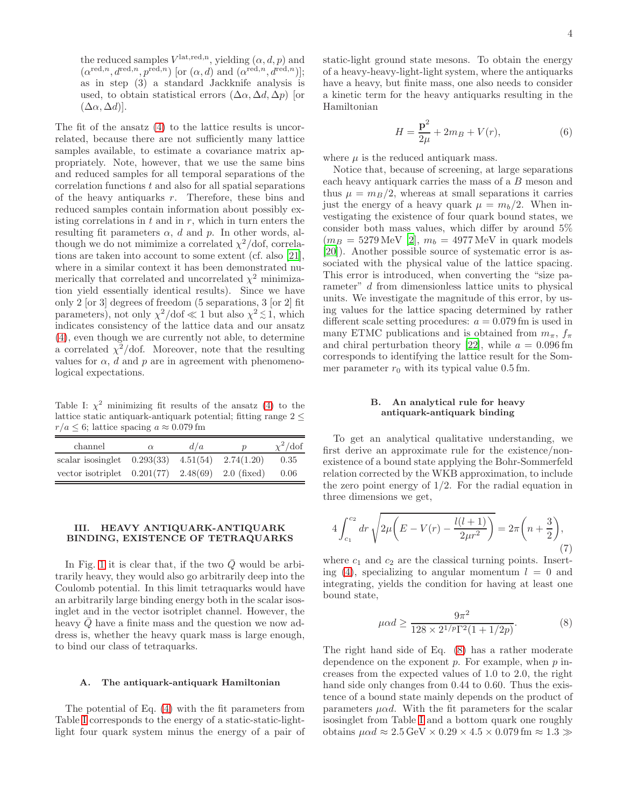the reduced samples  $V^{\text{lat,red,n}}$ , yielding  $(\alpha, d, p)$  and  $(\alpha^{\text{red},n}, d^{\text{red},n}, p^{\text{red},n})$  [or  $(\alpha, d)$  and  $(\alpha^{\text{red},n}, d^{\text{red},n})$ ]; as in step (3) a standard Jackknife analysis is used, to obtain statistical errors  $(\Delta \alpha, \Delta d, \Delta p)$  [or  $(\Delta \alpha, \Delta d)$ .

The fit of the ansatz [\(4\)](#page-2-0) to the lattice results is uncorrelated, because there are not sufficiently many lattice samples available, to estimate a covariance matrix appropriately. Note, however, that we use the same bins and reduced samples for all temporal separations of the  $\alpha$  correlation functions  $t$  and also for all spatial separations of the heavy antiquarks  $r$ . Therefore, these bins and reduced samples contain information about possibly existing correlations in  $t$  and in  $r$ , which in turn enters the resulting fit parameters  $\alpha$ , d and p. In other words, although we do not mimimize a correlated  $\chi^2$ /dof, correlations are taken into account to some extent (cf. also [\[21\]](#page-5-13), where in a similar context it has been demonstrated numerically that correlated and uncorrelated  $\chi^2$  minimization yield essentially identical results). Since we have only 2 [or 3] degrees of freedom (5 separations, 3 [or 2] fit parameters), not only  $\chi^2/\text{dof} \ll 1$  but also  $\chi^2 \lesssim 1$ , which indicates consistency of the lattice data and our ansatz [\(4\)](#page-2-0), even though we are currently not able, to determine a correlated  $\chi^2$ /dof. Moreover, note that the resulting values for  $\alpha$ , d and p are in agreement with phenomenological expectations.

<span id="page-3-0"></span>Table I:  $\chi^2$  minimizing fit results of the ansatz [\(4\)](#page-2-0) to the lattice static antiquark-antiquark potential; fitting range 2 ≤  $r/a \leq 6$ ; lattice spacing  $a \approx 0.079$  fm

| channel                                                | $\alpha$ | d/a | $\boldsymbol{p}$ | $\chi^2/\text{dof}$ |
|--------------------------------------------------------|----------|-----|------------------|---------------------|
| scalar isosinglet $0.293(33)$ 4.51(54)                 |          |     | 2.74(1.20)       | 0.35                |
| vector isotriplet $0.201(77)$ $2.48(69)$ $2.0$ (fixed) |          |     |                  | 0.06                |

# III. HEAVY ANTIQUARK-ANTIQUARK BINDING, EXISTENCE OF TETRAQUARKS

In Fig. [1](#page-1-0) it is clear that, if the two  $\overline{Q}$  would be arbitrarily heavy, they would also go arbitrarily deep into the Coulomb potential. In this limit tetraquarks would have an arbitrarily large binding energy both in the scalar isosinglet and in the vector isotriplet channel. However, the heavy  $\overline{Q}$  have a finite mass and the question we now address is, whether the heavy quark mass is large enough, to bind our class of tetraquarks.

### A. The antiquark-antiquark Hamiltonian

The potential of Eq. [\(4\)](#page-2-0) with the fit parameters from Table [I](#page-3-0) corresponds to the energy of a static-static-lightlight four quark system minus the energy of a pair of static-light ground state mesons. To obtain the energy of a heavy-heavy-light-light system, where the antiquarks have a heavy, but finite mass, one also needs to consider a kinetic term for the heavy antiquarks resulting in the Hamiltonian

<span id="page-3-2"></span>
$$
H = \frac{\mathbf{p}^2}{2\mu} + 2m + V(r),\tag{6}
$$

where  $\mu$  is the reduced antiquark mass.

Notice that, because of screening, at large separations each heavy antiquark carries the mass of a B meson and thus  $\mu = m_B/2$ , whereas at small separations it carries just the energy of a heavy quark  $\mu = m_b/2$ . When investigating the existence of four quark bound states, we consider both mass values, which differ by around 5%  $(m_B = 5279 \,\text{MeV}$  [\[2](#page-5-1)],  $m_b = 4977 \,\text{MeV}$  in quark models [\[20\]](#page-5-14)). Another possible source of systematic error is associated with the physical value of the lattice spacing. This error is introduced, when converting the "size parameter" d from dimensionless lattice units to physical units. We investigate the magnitude of this error, by using values for the lattice spacing determined by rather different scale setting procedures:  $a = 0.079$  fm is used in many ETMC publications and is obtained from  $m_{\pi}$ ,  $f_{\pi}$ and chiral perturbation theory [\[22](#page-5-15)], while  $a = 0.096$  fm corresponds to identifying the lattice result for the Sommer parameter  $r_0$  with its typical value 0.5 fm.

# B. An analytical rule for heavy antiquark-antiquark binding

To get an analytical qualitative understanding, we first derive an approximate rule for the existence/nonexistence of a bound state applying the Bohr-Sommerfeld relation corrected by the WKB approximation, to include the zero point energy of  $1/2$ . For the radial equation in three dimensions we get,

$$
4\int_{c_1}^{c_2} dr \sqrt{2\mu \left(E - V(r) - \frac{l(l+1)}{2\mu r^2}\right)} = 2\pi \left(n + \frac{3}{2}\right),\tag{7}
$$

where  $c_1$  and  $c_2$  are the classical turning points. Insert-ing [\(4\)](#page-2-0), specializing to angular momentum  $l = 0$  and integrating, yields the condition for having at least one bound state,

<span id="page-3-1"></span>
$$
\mu \alpha d \ge \frac{9\pi^2}{128 \times 2^{1/p} \Gamma^2 (1 + 1/2p)}.\tag{8}
$$

The right hand side of Eq. [\(8\)](#page-3-1) has a rather moderate dependence on the exponent  $p$ . For example, when  $p$  increases from the expected values of 1.0 to 2.0, the right hand side only changes from 0.44 to 0.60. Thus the existence of a bound state mainly depends on the product of parameters  $\mu \alpha d$ . With the fit parameters for the scalar isosinglet from Table [I](#page-3-0) and a bottom quark one roughly obtains  $\mu \alpha d \approx 2.5 \,\text{GeV} \times 0.29 \times 4.5 \times 0.079 \,\text{fm} \approx 1.3 \gg$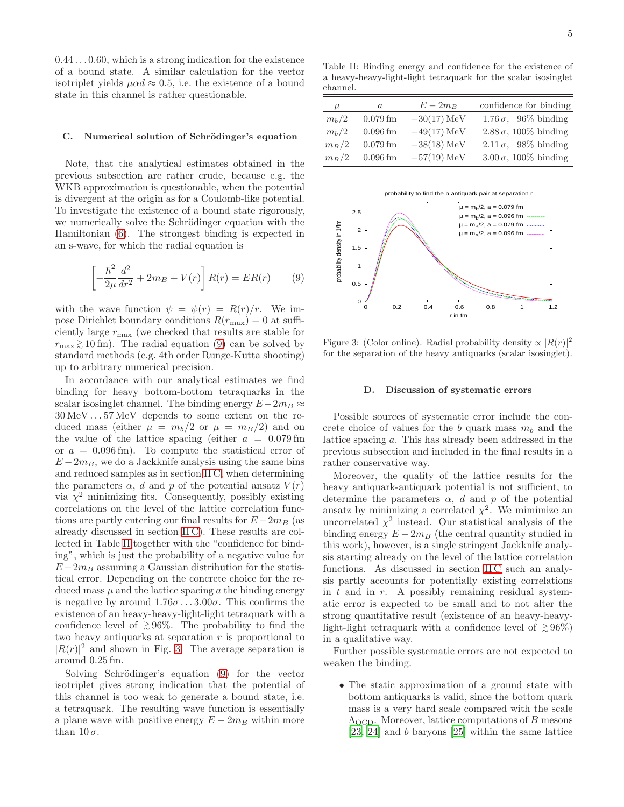0.44 . . . 0.60, which is a strong indication for the existence of a bound state. A similar calculation for the vector isotriplet yields  $\mu \alpha d \approx 0.5$ , i.e. the existence of a bound state in this channel is rather questionable.

### C. Numerical solution of Schrödinger's equation

Note, that the analytical estimates obtained in the previous subsection are rather crude, because e.g. the WKB approximation is questionable, when the potential is divergent at the origin as for a Coulomb-like potential. To investigate the existence of a bound state rigorously, we numerically solve the Schrödinger equation with the Hamiltonian [\(6\)](#page-3-2). The strongest binding is expected in an s-wave, for which the radial equation is

<span id="page-4-0"></span>
$$
\left[ -\frac{\hbar^2}{2\mu} \frac{d^2}{dr^2} + 2m_B + V(r) \right] R(r) = ER(r) \tag{9}
$$

with the wave function  $\psi = \psi(r) = R(r)/r$ . We impose Dirichlet boundary conditions  $R(r_{\text{max}}) = 0$  at sufficiently large  $r_{\text{max}}$  (we checked that results are stable for  $r_{\text{max}} \gtrsim 10 \text{ fm}$ ). The radial equation [\(9\)](#page-4-0) can be solved by standard methods (e.g. 4th order Runge-Kutta shooting) up to arbitrary numerical precision.

In accordance with our analytical estimates we find binding for heavy bottom-bottom tetraquarks in the scalar isosinglet channel. The binding energy  $E-2m_B \approx$ 30 MeV . . . 57 MeV depends to some extent on the reduced mass (either  $\mu = m_h/2$  or  $\mu = m_B/2$ ) and on the value of the lattice spacing (either  $a = 0.079$  fm or  $a = 0.096$  fm). To compute the statistical error of  $E-2m_B$ , we do a Jackknife analysis using the same bins and reduced samples as in section [II C,](#page-2-2) when determining the parameters  $\alpha$ , d and p of the potential ansatz  $V(r)$ via  $\chi^2$  minimizing fits. Consequently, possibly existing correlations on the level of the lattice correlation functions are partly entering our final results for  $E-2m_B$  (as already discussed in section [II C\)](#page-2-2). These results are collected in Table [II](#page-4-1) together with the "confidence for binding", which is just the probability of a negative value for  $E-2m_B$  assuming a Gaussian distribution for the statistical error. Depending on the concrete choice for the reduced mass  $\mu$  and the lattice spacing a the binding energy is negative by around  $1.76\sigma...3.00\sigma$ . This confirms the existence of an heavy-heavy-light-light tetraquark with a confidence level of  $\geq 96\%$ . The probability to find the two heavy antiquarks at separation  $r$  is proportional to  $|R(r)|^2$  and shown in Fig. [3.](#page-4-2) The average separation is around 0.25 fm.

Solving Schrödinger's equation [\(9\)](#page-4-0) for the vector isotriplet gives strong indication that the potential of this channel is too weak to generate a bound state, i.e. a tetraquark. The resulting wave function is essentially a plane wave with positive energy  $E - 2m_B$  within more than  $10\sigma$ .

<span id="page-4-1"></span>Table II: Binding energy and confidence for the existence of a heavy-heavy-light-light tetraquark for the scalar isosinglet channel.

| $\mu$   | $\boldsymbol{a}$ | $E-2m_B$      | confidence for binding        |
|---------|------------------|---------------|-------------------------------|
| $m_b/2$ | $0.079$ fm       | $-30(17)$ MeV | 1.76 $\sigma$ , 96% binding   |
| $m_b/2$ | $0.096$ fm       | $-49(17)$ MeV | $2.88\,\sigma$ , 100% binding |
| $m_B/2$ | $0.079$ fm       | $-38(18)$ MeV | 2.11 $\sigma$ , 98% binding   |
| $m_B/2$ | $0.096$ fm       | $-57(19)$ MeV | $3.00\,\sigma$ , 100% binding |



Figure 3: (Color online). Radial probability density  $\propto |R(r)|^2$ for the separation of the heavy antiquarks (scalar isosinglet).

### <span id="page-4-2"></span>D. Discussion of systematic errors

Possible sources of systematic error include the concrete choice of values for the b quark mass  $m_b$  and the lattice spacing a. This has already been addressed in the previous subsection and included in the final results in a rather conservative way.

Moreover, the quality of the lattice results for the heavy antiquark-antiquark potential is not sufficient, to determine the parameters  $\alpha$ , d and p of the potential ansatz by minimizing a correlated  $\chi^2$ . We mimimize an uncorrelated  $\chi^2$  instead. Our statistical analysis of the binding energy  $E - 2m_B$  (the central quantity studied in this work), however, is a single stringent Jackknife analysis starting already on the level of the lattice correlation functions. As discussed in section IIC such an analysis partly accounts for potentially existing correlations in  $t$  and in  $r$ . A possibly remaining residual systematic error is expected to be small and to not alter the strong quantitative result (existence of an heavy-heavylight-light tetraquark with a confidence level of  $\geq 96\%$ ) in a qualitative way.

Further possible systematic errors are not expected to weaken the binding.

• The static approximation of a ground state with bottom antiquarks is valid, since the bottom quark mass is a very hard scale compared with the scale  $\Lambda_{\text{QCD}}$ . Moreover, lattice computations of B mesons [\[23,](#page-6-0) [24\]](#page-6-1) and b baryons [\[25\]](#page-6-2) within the same lattice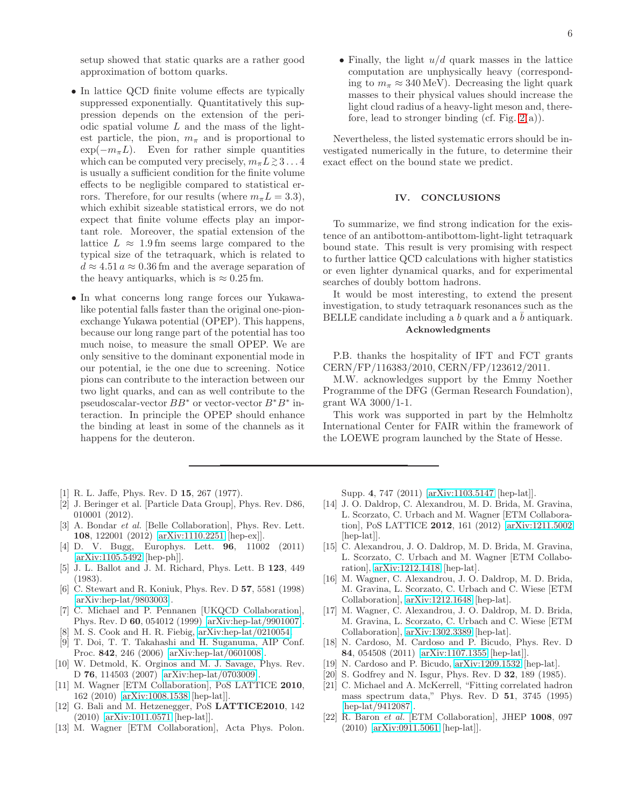setup showed that static quarks are a rather good approximation of bottom quarks.

- In lattice OCD finite volume effects are typically suppressed exponentially. Quantitatively this suppression depends on the extension of the periodic spatial volume  $L$  and the mass of the lightest particle, the pion,  $m_{\pi}$  and is proportional to  $\exp(-m_{\pi}L)$ . Even for rather simple quantities which can be computed very precisely,  $m_{\pi} L \gtrsim 3...4$ is usually a sufficient condition for the finite volume effects to be negligible compared to statistical errors. Therefore, for our results (where  $m_{\pi}L = 3.3$ ), which exhibit sizeable statistical errors, we do not expect that finite volume effects play an important role. Moreover, the spatial extension of the lattice  $L \approx 1.9$  fm seems large compared to the typical size of the tetraquark, which is related to  $d \approx 4.51 a \approx 0.36$  fm and the average separation of the heavy antiquarks, which is  $\approx 0.25$  fm.
- In what concerns long range forces our Yukawalike potential falls faster than the original one-pionexchange Yukawa potential (OPEP). This happens, because our long range part of the potential has too much noise, to measure the small OPEP. We are only sensitive to the dominant exponential mode in our potential, ie the one due to screening. Notice pions can contribute to the interaction between our two light quarks, and can as well contribute to the pseudoscalar-vector  $BB^*$  or vector-vector  $B^*B^*$  interaction. In principle the OPEP should enhance the binding at least in some of the channels as it happens for the deuteron.
- <span id="page-5-0"></span>[1] R. L. Jaffe, Phys. Rev. D 15, 267 (1977).
- <span id="page-5-1"></span>[2] J. Beringer et al. [Particle Data Group], Phys. Rev. D86, 010001 (2012).
- <span id="page-5-2"></span>[3] A. Bondar *et al.* [Belle Collaboration], Phys. Rev. Lett. 108, 122001 (2012) [\[arXiv:1110.2251](http://arxiv.org/abs/1110.2251) [hep-ex]].
- <span id="page-5-3"></span>[4] D. V. Bugg, Europhys. Lett. 96, 11002 (2011) [\[arXiv:1105.5492](http://arxiv.org/abs/1105.5492) [hep-ph]].
- <span id="page-5-4"></span>[5] J. L. Ballot and J. M. Richard, Phys. Lett. B 123, 449 (1983).
- <span id="page-5-5"></span>[6] C. Stewart and R. Koniuk, Phys. Rev. D 57, 5581 (1998) [\[arXiv:hep-lat/9803003\]](http://arxiv.org/abs/hep-lat/9803003).
- [7] C. Michael and P. Pennanen [UKQCD Collaboration], Phys. Rev. D 60, 054012 (1999) [\[arXiv:hep-lat/9901007\]](http://arxiv.org/abs/hep-lat/9901007).
- [8] M. S. Cook and H. R. Fiebig, [arXiv:hep-lat/0210054.](http://arxiv.org/abs/hep-lat/0210054)
- [9] T. Doi, T. T. Takahashi and H. Suganuma, AIP Conf. Proc. 842, 246 (2006) [\[arXiv:hep-lat/0601008\]](http://arxiv.org/abs/hep-lat/0601008).
- <span id="page-5-6"></span>[10] W. Detmold, K. Orginos and M. J. Savage, Phys. Rev. D 76, 114503 (2007) [\[arXiv:hep-lat/0703009\]](http://arxiv.org/abs/hep-lat/0703009).
- <span id="page-5-7"></span>[11] M. Wagner [ETM Collaboration], PoS LATTICE 2010, 162 (2010) [\[arXiv:1008.1538](http://arxiv.org/abs/1008.1538) [hep-lat]].
- [12] G. Bali and M. Hetzenegger, PoS LATTICE2010, 142 (2010) [\[arXiv:1011.0571](http://arxiv.org/abs/1011.0571) [hep-lat]].
- <span id="page-5-8"></span>[13] M. Wagner [ETM Collaboration], Acta Phys. Polon.

• Finally, the light  $u/d$  quark masses in the lattice computation are unphysically heavy (corresponding to  $m_{\pi} \approx 340 \,\text{MeV}$ . Decreasing the light quark masses to their physical values should increase the light cloud radius of a heavy-light meson and, therefore, lead to stronger binding (cf. Fig.  $2(a)$ ).

Nevertheless, the listed systematic errors should be investigated numerically in the future, to determine their exact effect on the bound state we predict.

## IV. CONCLUSIONS

To summarize, we find strong indication for the existence of an antibottom-antibottom-light-light tetraquark bound state. This result is very promising with respect to further lattice QCD calculations with higher statistics or even lighter dynamical quarks, and for experimental searches of doubly bottom hadrons.

It would be most interesting, to extend the present investigation, to study tetraquark resonances such as the BELLE candidate including a b quark and a  $\bar{b}$  antiquark. Acknowledgments

P.B. thanks the hospitality of IFT and FCT grants CERN/FP/116383/2010, CERN/FP/123612/2011.

M.W. acknowledges support by the Emmy Noether Programme of the DFG (German Research Foundation), grant WA 3000/1-1.

This work was supported in part by the Helmholtz International Center for FAIR within the framework of the LOEWE program launched by the State of Hesse.

Supp. 4, 747 (2011) [\[arXiv:1103.5147](http://arxiv.org/abs/1103.5147) [hep-lat]].

- <span id="page-5-9"></span>[14] J. O. Daldrop, C. Alexandrou, M. D. Brida, M. Gravina, L. Scorzato, C. Urbach and M. Wagner [ETM Collaboration], PoS LATTICE 2012, 161 (2012) [\[arXiv:1211.5002](http://arxiv.org/abs/1211.5002) [hep-lat]].
- [15] C. Alexandrou, J. O. Daldrop, M. D. Brida, M. Gravina, L. Scorzato, C. Urbach and M. Wagner [ETM Collaboration], [arXiv:1212.1418](http://arxiv.org/abs/1212.1418) [hep-lat].
- [16] M. Wagner, C. Alexandrou, J. O. Daldrop, M. D. Brida, M. Gravina, L. Scorzato, C. Urbach and C. Wiese [ETM Collaboration], [arXiv:1212.1648](http://arxiv.org/abs/1212.1648) [hep-lat].
- <span id="page-5-10"></span>[17] M. Wagner, C. Alexandrou, J. O. Daldrop, M. D. Brida, M. Gravina, L. Scorzato, C. Urbach and C. Wiese [ETM Collaboration], [arXiv:1302.3389](http://arxiv.org/abs/1302.3389) [hep-lat].
- <span id="page-5-11"></span>[18] N. Cardoso, M. Cardoso and P. Bicudo, Phys. Rev. D 84, 054508 (2011) [\[arXiv:1107.1355](http://arxiv.org/abs/1107.1355) [hep-lat]].
- <span id="page-5-12"></span>[19] N. Cardoso and P. Bicudo, [arXiv:1209.1532](http://arxiv.org/abs/1209.1532) [hep-lat].
- <span id="page-5-14"></span>[20] S. Godfrey and N. Isgur, Phys. Rev. D **32**, 189 (1985).
- <span id="page-5-13"></span>[21] C. Michael and A. McKerrell, "Fitting correlated hadron mass spectrum data," Phys. Rev. D 51, 3745 (1995) [\[hep-lat/9412087\]](http://arxiv.org/abs/hep-lat/9412087).
- <span id="page-5-15"></span>[22] R. Baron et al. [ETM Collaboration], JHEP 1008, 097 (2010) [\[arXiv:0911.5061](http://arxiv.org/abs/0911.5061) [hep-lat]].